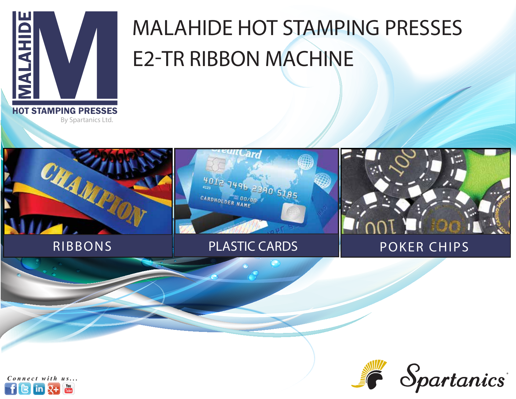

# MALAHIDE HOT STAMPING PRESSES E2-TR RIBBON MACHINE

By Spartanics Ltd.